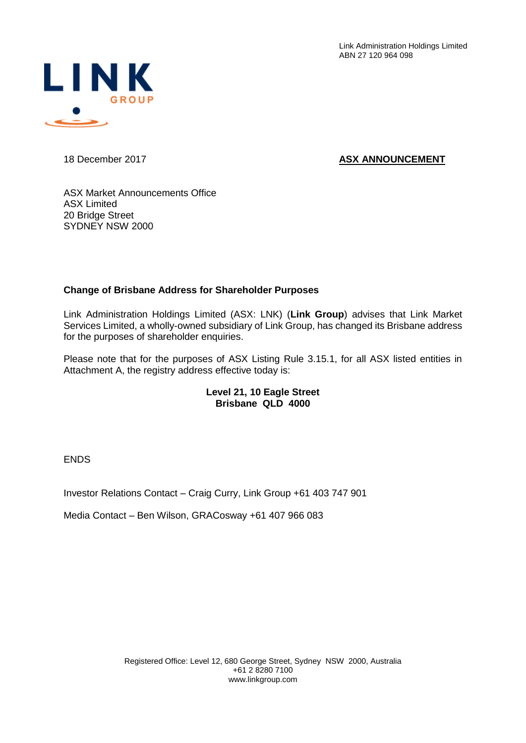Link Administration Holdings Limited ABN 27 120 964 098



## 18 December 2017 **ASX ANNOUNCEMENT**

ASX Market Announcements Office ASX Limited 20 Bridge Street SYDNEY NSW 2000

## **Change of Brisbane Address for Shareholder Purposes**

Link Administration Holdings Limited (ASX: LNK) (**Link Group**) advises that Link Market Services Limited, a wholly-owned subsidiary of Link Group, has changed its Brisbane address for the purposes of shareholder enquiries.

Please note that for the purposes of ASX Listing Rule 3.15.1, for all ASX listed entities in Attachment A, the registry address effective today is:

## **Level 21, 10 Eagle Street Brisbane QLD 4000**

ENDS

Investor Relations Contact – Craig Curry, Link Group +61 403 747 901

Media Contact – Ben Wilson, GRACosway +61 407 966 083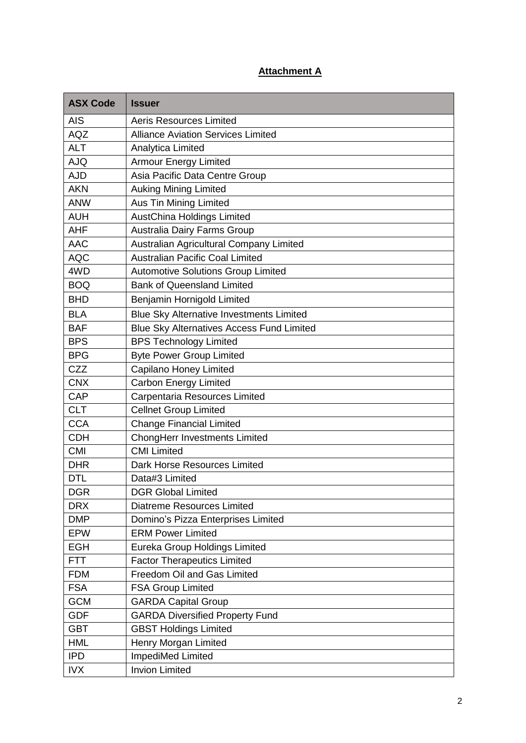## **Attachment A**

| <b>ASX Code</b> | <b>Issuer</b>                                    |
|-----------------|--------------------------------------------------|
| <b>AIS</b>      | <b>Aeris Resources Limited</b>                   |
| <b>AQZ</b>      | <b>Alliance Aviation Services Limited</b>        |
| <b>ALT</b>      | Analytica Limited                                |
| <b>AJQ</b>      | <b>Armour Energy Limited</b>                     |
| <b>AJD</b>      | Asia Pacific Data Centre Group                   |
| <b>AKN</b>      | <b>Auking Mining Limited</b>                     |
| <b>ANW</b>      | Aus Tin Mining Limited                           |
| <b>AUH</b>      | <b>AustChina Holdings Limited</b>                |
| <b>AHF</b>      | Australia Dairy Farms Group                      |
| <b>AAC</b>      | Australian Agricultural Company Limited          |
| <b>AQC</b>      | <b>Australian Pacific Coal Limited</b>           |
| 4WD             | <b>Automotive Solutions Group Limited</b>        |
| <b>BOQ</b>      | <b>Bank of Queensland Limited</b>                |
| <b>BHD</b>      | Benjamin Hornigold Limited                       |
| <b>BLA</b>      | <b>Blue Sky Alternative Investments Limited</b>  |
| <b>BAF</b>      | <b>Blue Sky Alternatives Access Fund Limited</b> |
| <b>BPS</b>      | <b>BPS Technology Limited</b>                    |
| <b>BPG</b>      | <b>Byte Power Group Limited</b>                  |
| CZZ             | Capilano Honey Limited                           |
| <b>CNX</b>      | <b>Carbon Energy Limited</b>                     |
| <b>CAP</b>      | Carpentaria Resources Limited                    |
| <b>CLT</b>      | <b>Cellnet Group Limited</b>                     |
| <b>CCA</b>      | <b>Change Financial Limited</b>                  |
| <b>CDH</b>      | <b>ChongHerr Investments Limited</b>             |
| <b>CMI</b>      | <b>CMI Limited</b>                               |
| <b>DHR</b>      | Dark Horse Resources Limited                     |
| <b>DTL</b>      | Data#3 Limited                                   |
| <b>DGR</b>      | <b>DGR Global Limited</b>                        |
| <b>DRX</b>      | <b>Diatreme Resources Limited</b>                |
| <b>DMP</b>      | Domino's Pizza Enterprises Limited               |
| <b>EPW</b>      | <b>ERM Power Limited</b>                         |
| <b>EGH</b>      | Eureka Group Holdings Limited                    |
| <b>FTT</b>      | <b>Factor Therapeutics Limited</b>               |
| <b>FDM</b>      | Freedom Oil and Gas Limited                      |
| <b>FSA</b>      | <b>FSA Group Limited</b>                         |
| <b>GCM</b>      | <b>GARDA Capital Group</b>                       |
| <b>GDF</b>      | <b>GARDA Diversified Property Fund</b>           |
| <b>GBT</b>      | <b>GBST Holdings Limited</b>                     |
| <b>HML</b>      | Henry Morgan Limited                             |
| <b>IPD</b>      | ImpediMed Limited                                |
| <b>IVX</b>      | <b>Invion Limited</b>                            |